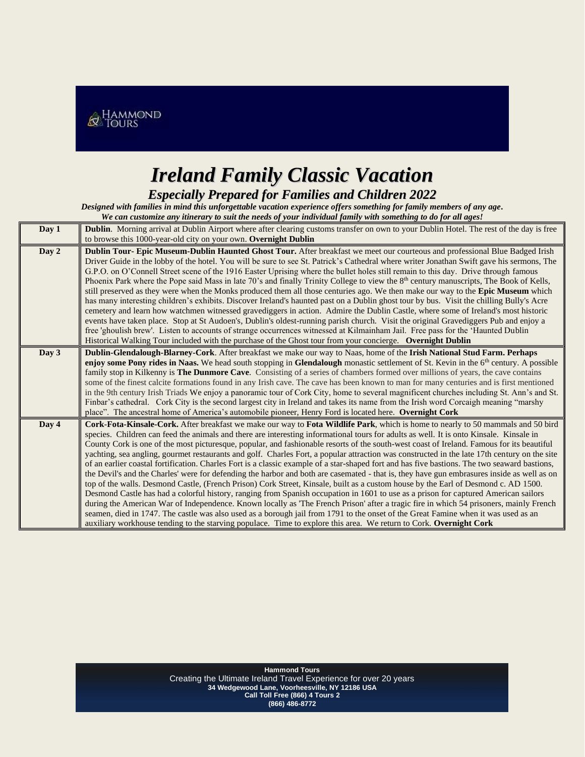

## *Ireland Family Classic Vacation*

*Especially Prepared for Families and Children 2022*

*Designed with families in mind this unforgettable vacation experience offers something for family members of any age. We can customize any itinerary to suit the needs of your individual family with something to do for all ages!* 

| Day 1 | <b>Dublin.</b> Morning arrival at Dublin Airport where after clearing customs transfer on own to your Dublin Hotel. The rest of the day is free                                                                                                                                                                                                                                                                                                                                                                                                                                                                                                                                                                                                                                                                                                                                                                                                                                                                                                                                                                                                                                                                                                                                                                                                                                                                                                                                                                                                            |
|-------|------------------------------------------------------------------------------------------------------------------------------------------------------------------------------------------------------------------------------------------------------------------------------------------------------------------------------------------------------------------------------------------------------------------------------------------------------------------------------------------------------------------------------------------------------------------------------------------------------------------------------------------------------------------------------------------------------------------------------------------------------------------------------------------------------------------------------------------------------------------------------------------------------------------------------------------------------------------------------------------------------------------------------------------------------------------------------------------------------------------------------------------------------------------------------------------------------------------------------------------------------------------------------------------------------------------------------------------------------------------------------------------------------------------------------------------------------------------------------------------------------------------------------------------------------------|
|       | to browse this 1000-year-old city on your own. Overnight Dublin                                                                                                                                                                                                                                                                                                                                                                                                                                                                                                                                                                                                                                                                                                                                                                                                                                                                                                                                                                                                                                                                                                                                                                                                                                                                                                                                                                                                                                                                                            |
| Day 2 | Dublin Tour- Epic Museum-Dublin Haunted Ghost Tour. After breakfast we meet our courteous and professional Blue Badged Irish<br>Driver Guide in the lobby of the hotel. You will be sure to see St. Patrick's Cathedral where writer Jonathan Swift gave his sermons, The<br>G.P.O. on O'Connell Street scene of the 1916 Easter Uprising where the bullet holes still remain to this day. Drive through famous<br>Phoenix Park where the Pope said Mass in late 70's and finally Trinity College to view the 8 <sup>th</sup> century manuscripts, The Book of Kells,<br>still preserved as they were when the Monks produced them all those centuries ago. We then make our way to the Epic Museum which<br>has many interesting children's exhibits. Discover Ireland's haunted past on a Dublin ghost tour by bus. Visit the chilling Bully's Acre<br>cemetery and learn how watchmen witnessed gravediggers in action. Admire the Dublin Castle, where some of Ireland's most historic<br>events have taken place. Stop at St Audoen's, Dublin's oldest-running parish church. Visit the original Gravediggers Pub and enjoy a<br>free 'ghoulish brew'. Listen to accounts of strange occurrences witnessed at Kilmainham Jail. Free pass for the 'Haunted Dublin<br>Historical Walking Tour included with the purchase of the Ghost tour from your concierge. Overnight Dublin                                                                                                                                                                        |
| Day 3 | Dublin-Glendalough-Blarney-Cork. After breakfast we make our way to Naas, home of the Irish National Stud Farm. Perhaps<br>enjoy some Pony rides in Naas. We head south stopping in Glendalough monastic settlement of St. Kevin in the 6 <sup>th</sup> century. A possible<br>family stop in Kilkenny is The Dunmore Cave. Consisting of a series of chambers formed over millions of years, the cave contains<br>some of the finest calcite formations found in any Irish cave. The cave has been known to man for many centuries and is first mentioned<br>in the 9th century Irish Triads We enjoy a panoramic tour of Cork City, home to several magnificent churches including St. Ann's and St.<br>Finbar's cathedral. Cork City is the second largest city in Ireland and takes its name from the Irish word Corcaigh meaning "marshy"<br>place". The ancestral home of America's automobile pioneer, Henry Ford is located here. Overnight Cork                                                                                                                                                                                                                                                                                                                                                                                                                                                                                                                                                                                                   |
| Day 4 | Cork-Fota-Kinsale-Cork. After breakfast we make our way to Fota Wildlife Park, which is home to nearly to 50 mammals and 50 bird<br>species. Children can feed the animals and there are interesting informational tours for adults as well. It is onto Kinsale. Kinsale in<br>County Cork is one of the most picturesque, popular, and fashionable resorts of the south-west coast of Ireland. Famous for its beautiful<br>yachting, sea angling, gourmet restaurants and golf. Charles Fort, a popular attraction was constructed in the late 17th century on the site<br>of an earlier coastal fortification. Charles Fort is a classic example of a star-shaped fort and has five bastions. The two seaward bastions,<br>the Devil's and the Charles' were for defending the harbor and both are casemated - that is, they have gun embrasures inside as well as on<br>top of the walls. Desmond Castle, (French Prison) Cork Street, Kinsale, built as a custom house by the Earl of Desmond c. AD 1500.<br>Desmond Castle has had a colorful history, ranging from Spanish occupation in 1601 to use as a prison for captured American sailors<br>during the American War of Independence. Known locally as 'The French Prison' after a tragic fire in which 54 prisoners, mainly French<br>seamen, died in 1747. The castle was also used as a borough jail from 1791 to the onset of the Great Famine when it was used as an<br>auxiliary workhouse tending to the starving populace. Time to explore this area. We return to Cork. Overnight Cork |